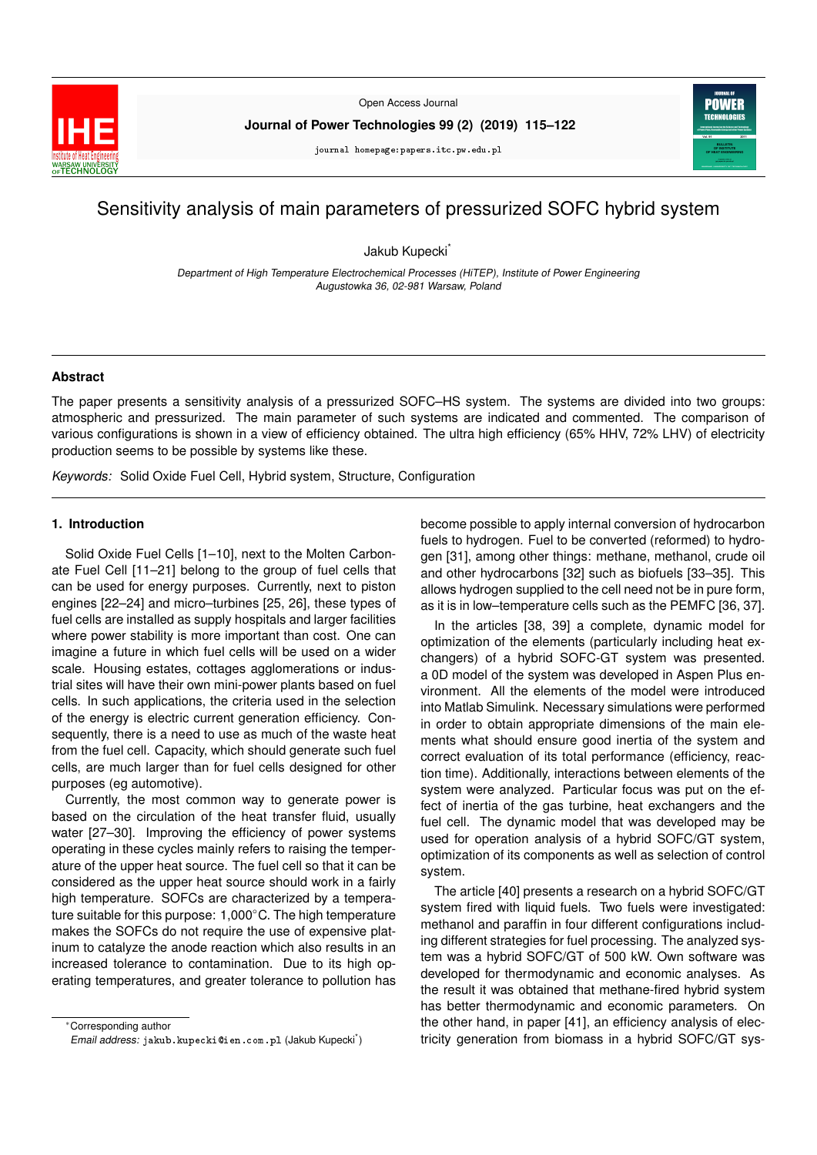

Open Access Journal

**Journal of Power Technologies 99 (2) (2019) 115–122**

journal homepage:papers.itc.pw.edu.pl



# Sensitivity analysis of main parameters of pressurized SOFC hybrid system

Jakub Kupecki<sup>\*</sup>

Department of High Temperature Electrochemical Processes (HiTEP), Institute of Power Engineering Augustowka 36, 02-981 Warsaw, Poland

# **Abstract**

The paper presents a sensitivity analysis of a pressurized SOFC–HS system. The systems are divided into two groups: atmospheric and pressurized. The main parameter of such systems are indicated and commented. The comparison of various configurations is shown in a view of efficiency obtained. The ultra high efficiency (65% HHV, 72% LHV) of electricity production seems to be possible by systems like these.

Keywords: Solid Oxide Fuel Cell, Hybrid system, Structure, Configuration

# **1. Introduction**

Solid Oxide Fuel Cells [1–10], next to the Molten Carbonate Fuel Cell [11–21] belong to the group of fuel cells that can be used for energy purposes. Currently, next to piston engines [22–24] and micro–turbines [25, 26], these types of fuel cells are installed as supply hospitals and larger facilities where power stability is more important than cost. One can imagine a future in which fuel cells will be used on a wider scale. Housing estates, cottages agglomerations or industrial sites will have their own mini-power plants based on fuel cells. In such applications, the criteria used in the selection of the energy is electric current generation efficiency. Consequently, there is a need to use as much of the waste heat from the fuel cell. Capacity, which should generate such fuel cells, are much larger than for fuel cells designed for other purposes (eg automotive).

Currently, the most common way to generate power is based on the circulation of the heat transfer fluid, usually water [27-30]. Improving the efficiency of power systems operating in these cycles mainly refers to raising the temperature of the upper heat source. The fuel cell so that it can be considered as the upper heat source should work in a fairly high temperature. SOFCs are characterized by a temperature suitable for this purpose: 1,000◦C. The high temperature makes the SOFCs do not require the use of expensive platinum to catalyze the anode reaction which also results in an increased tolerance to contamination. Due to its high operating temperatures, and greater tolerance to pollution has

<sup>∗</sup>Corresponding author Email address: jakub.kupecki@ien.com.pl (Jakub Kupecki) become possible to apply internal conversion of hydrocarbon fuels to hydrogen. Fuel to be converted (reformed) to hydrogen [31], among other things: methane, methanol, crude oil and other hydrocarbons [32] such as biofuels [33–35]. This allows hydrogen supplied to the cell need not be in pure form, as it is in low–temperature cells such as the PEMFC [36, 37].

In the articles [38, 39] a complete, dynamic model for optimization of the elements (particularly including heat exchangers) of a hybrid SOFC-GT system was presented. a 0D model of the system was developed in Aspen Plus environment. All the elements of the model were introduced into Matlab Simulink. Necessary simulations were performed in order to obtain appropriate dimensions of the main elements what should ensure good inertia of the system and correct evaluation of its total performance (efficiency, reaction time). Additionally, interactions between elements of the system were analyzed. Particular focus was put on the effect of inertia of the gas turbine, heat exchangers and the fuel cell. The dynamic model that was developed may be used for operation analysis of a hybrid SOFC/GT system, optimization of its components as well as selection of control system.

The article [40] presents a research on a hybrid SOFC/GT system fired with liquid fuels. Two fuels were investigated: methanol and paraffin in four different configurations including different strategies for fuel processing. The analyzed system was a hybrid SOFC/GT of 500 kW. Own software was developed for thermodynamic and economic analyses. As the result it was obtained that methane-fired hybrid system has better thermodynamic and economic parameters. On the other hand, in paper [41], an efficiency analysis of electricity generation from biomass in a hybrid SOFC/GT sys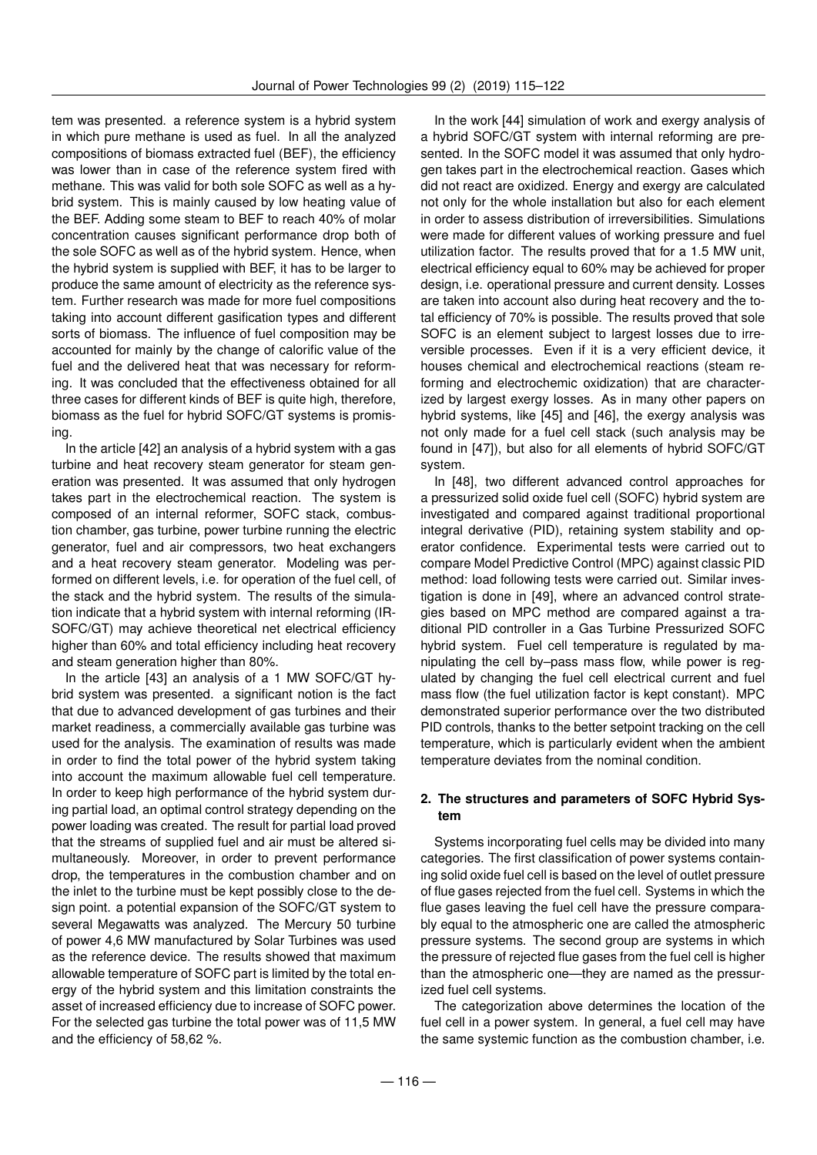tem was presented. a reference system is a hybrid system in which pure methane is used as fuel. In all the analyzed compositions of biomass extracted fuel (BEF), the efficiency was lower than in case of the reference system fired with methane. This was valid for both sole SOFC as well as a hybrid system. This is mainly caused by low heating value of the BEF. Adding some steam to BEF to reach 40% of molar concentration causes significant performance drop both of the sole SOFC as well as of the hybrid system. Hence, when the hybrid system is supplied with BEF, it has to be larger to produce the same amount of electricity as the reference system. Further research was made for more fuel compositions taking into account different gasification types and different sorts of biomass. The influence of fuel composition may be accounted for mainly by the change of calorific value of the fuel and the delivered heat that was necessary for reforming. It was concluded that the effectiveness obtained for all three cases for different kinds of BEF is quite high, therefore, biomass as the fuel for hybrid SOFC/GT systems is promising.

In the article [42] an analysis of a hybrid system with a gas turbine and heat recovery steam generator for steam generation was presented. It was assumed that only hydrogen takes part in the electrochemical reaction. The system is composed of an internal reformer, SOFC stack, combustion chamber, gas turbine, power turbine running the electric generator, fuel and air compressors, two heat exchangers and a heat recovery steam generator. Modeling was performed on different levels, i.e. for operation of the fuel cell, of the stack and the hybrid system. The results of the simulation indicate that a hybrid system with internal reforming (IR-SOFC/GT) may achieve theoretical net electrical efficiency higher than 60% and total efficiency including heat recovery and steam generation higher than 80%.

In the article [43] an analysis of a 1 MW SOFC/GT hybrid system was presented. a significant notion is the fact that due to advanced development of gas turbines and their market readiness, a commercially available gas turbine was used for the analysis. The examination of results was made in order to find the total power of the hybrid system taking into account the maximum allowable fuel cell temperature. In order to keep high performance of the hybrid system during partial load, an optimal control strategy depending on the power loading was created. The result for partial load proved that the streams of supplied fuel and air must be altered simultaneously. Moreover, in order to prevent performance drop, the temperatures in the combustion chamber and on the inlet to the turbine must be kept possibly close to the design point. a potential expansion of the SOFC/GT system to several Megawatts was analyzed. The Mercury 50 turbine of power 4,6 MW manufactured by Solar Turbines was used as the reference device. The results showed that maximum allowable temperature of SOFC part is limited by the total energy of the hybrid system and this limitation constraints the asset of increased efficiency due to increase of SOFC power. For the selected gas turbine the total power was of 11,5 MW and the efficiency of 58,62 %.

In the work [44] simulation of work and exergy analysis of a hybrid SOFC/GT system with internal reforming are presented. In the SOFC model it was assumed that only hydrogen takes part in the electrochemical reaction. Gases which did not react are oxidized. Energy and exergy are calculated not only for the whole installation but also for each element in order to assess distribution of irreversibilities. Simulations were made for different values of working pressure and fuel utilization factor. The results proved that for a 1.5 MW unit, electrical efficiency equal to 60% may be achieved for proper design, i.e. operational pressure and current density. Losses are taken into account also during heat recovery and the total efficiency of 70% is possible. The results proved that sole SOFC is an element subject to largest losses due to irreversible processes. Even if it is a very efficient device, it houses chemical and electrochemical reactions (steam reforming and electrochemic oxidization) that are characterized by largest exergy losses. As in many other papers on hybrid systems, like [45] and [46], the exergy analysis was not only made for a fuel cell stack (such analysis may be found in [47]), but also for all elements of hybrid SOFC/GT system.

In [48], two different advanced control approaches for a pressurized solid oxide fuel cell (SOFC) hybrid system are investigated and compared against traditional proportional integral derivative (PID), retaining system stability and operator confidence. Experimental tests were carried out to compare Model Predictive Control (MPC) against classic PID method: load following tests were carried out. Similar investigation is done in [49], where an advanced control strategies based on MPC method are compared against a traditional PlD controller in a Gas Turbine Pressurized SOFC hybrid system. Fuel cell temperature is regulated by manipulating the cell by–pass mass flow, while power is regulated by changing the fuel cell electrical current and fuel mass flow (the fuel utilization factor is kept constant). MPC demonstrated superior performance over the two distributed PID controls, thanks to the better setpoint tracking on the cell temperature, which is particularly evident when the ambient temperature deviates from the nominal condition.

# **2. The structures and parameters of SOFC Hybrid System**

Systems incorporating fuel cells may be divided into many categories. The first classification of power systems containing solid oxide fuel cell is based on the level of outlet pressure of flue gases rejected from the fuel cell. Systems in which the flue gases leaving the fuel cell have the pressure comparably equal to the atmospheric one are called the atmospheric pressure systems. The second group are systems in which the pressure of rejected flue gases from the fuel cell is higher than the atmospheric one—they are named as the pressurized fuel cell systems.

The categorization above determines the location of the fuel cell in a power system. In general, a fuel cell may have the same systemic function as the combustion chamber, i.e.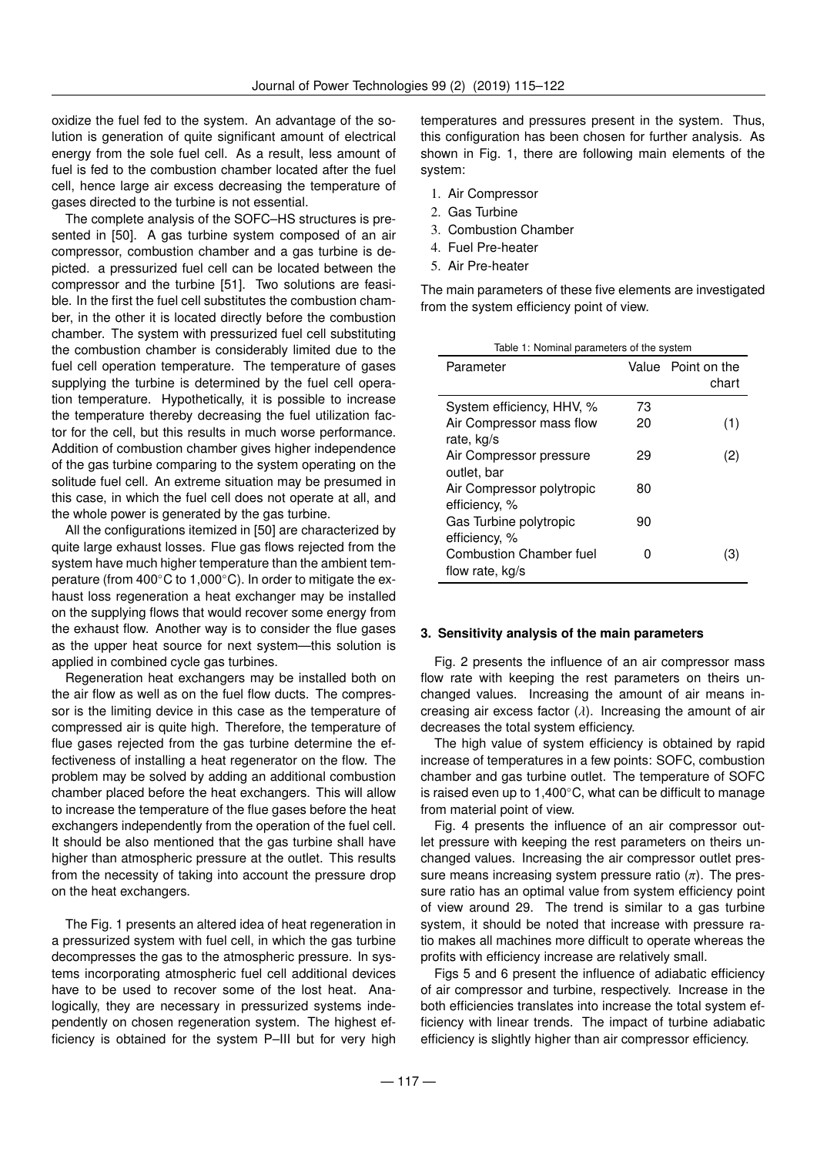oxidize the fuel fed to the system. An advantage of the solution is generation of quite significant amount of electrical energy from the sole fuel cell. As a result, less amount of fuel is fed to the combustion chamber located after the fuel cell, hence large air excess decreasing the temperature of gases directed to the turbine is not essential.

The complete analysis of the SOFC–HS structures is presented in [50]. A gas turbine system composed of an air compressor, combustion chamber and a gas turbine is depicted. a pressurized fuel cell can be located between the compressor and the turbine [51]. Two solutions are feasible. In the first the fuel cell substitutes the combustion chamber, in the other it is located directly before the combustion chamber. The system with pressurized fuel cell substituting the combustion chamber is considerably limited due to the fuel cell operation temperature. The temperature of gases supplying the turbine is determined by the fuel cell operation temperature. Hypothetically, it is possible to increase the temperature thereby decreasing the fuel utilization factor for the cell, but this results in much worse performance. Addition of combustion chamber gives higher independence of the gas turbine comparing to the system operating on the solitude fuel cell. An extreme situation may be presumed in this case, in which the fuel cell does not operate at all, and the whole power is generated by the gas turbine.

All the configurations itemized in [50] are characterized by quite large exhaust losses. Flue gas flows rejected from the system have much higher temperature than the ambient temperature (from 400°C to 1,000°C). In order to mitigate the exhaust loss regeneration a heat exchanger may be installed on the supplying flows that would recover some energy from the exhaust flow. Another way is to consider the flue gases as the upper heat source for next system—this solution is applied in combined cycle gas turbines.

Regeneration heat exchangers may be installed both on the air flow as well as on the fuel flow ducts. The compressor is the limiting device in this case as the temperature of compressed air is quite high. Therefore, the temperature of flue gases rejected from the gas turbine determine the effectiveness of installing a heat regenerator on the flow. The problem may be solved by adding an additional combustion chamber placed before the heat exchangers. This will allow to increase the temperature of the flue gases before the heat exchangers independently from the operation of the fuel cell. It should be also mentioned that the gas turbine shall have higher than atmospheric pressure at the outlet. This results from the necessity of taking into account the pressure drop on the heat exchangers.

The Fig. 1 presents an altered idea of heat regeneration in a pressurized system with fuel cell, in which the gas turbine decompresses the gas to the atmospheric pressure. In systems incorporating atmospheric fuel cell additional devices have to be used to recover some of the lost heat. Analogically, they are necessary in pressurized systems independently on chosen regeneration system. The highest efficiency is obtained for the system P–III but for very high

temperatures and pressures present in the system. Thus, this configuration has been chosen for further analysis. As shown in Fig. 1, there are following main elements of the system:

- 1. Air Compressor
- 2. Gas Turbine
- 3. Combustion Chamber
- 4. Fuel Pre-heater
- 5. Air Pre-heater

The main parameters of these five elements are investigated from the system efficiency point of view.

| Table 1: Nominal parameters of the system             |          |                             |
|-------------------------------------------------------|----------|-----------------------------|
| Parameter                                             |          | Value Point on the<br>chart |
| System efficiency, HHV, %<br>Air Compressor mass flow | 73<br>20 | (1)                         |
| rate, kg/s<br>Air Compressor pressure                 | 29       | (2)                         |
| outlet, bar<br>Air Compressor polytropic              | 80       |                             |
| efficiency, %<br>Gas Turbine polytropic               | 90       |                             |
| efficiency, %<br><b>Combustion Chamber fuel</b>       | Ω        | (3)                         |
| flow rate, kg/s                                       |          |                             |

#### **3. Sensitivity analysis of the main parameters**

Fig. 2 presents the influence of an air compressor mass flow rate with keeping the rest parameters on theirs unchanged values. Increasing the amount of air means increasing air excess factor  $(\lambda)$ . Increasing the amount of air decreases the total system efficiency.

The high value of system efficiency is obtained by rapid increase of temperatures in a few points: SOFC, combustion chamber and gas turbine outlet. The temperature of SOFC is raised even up to 1,400◦C, what can be difficult to manage from material point of view.

Fig. 4 presents the influence of an air compressor outlet pressure with keeping the rest parameters on theirs unchanged values. Increasing the air compressor outlet pressure means increasing system pressure ratio  $(\pi)$ . The pressure ratio has an optimal value from system efficiency point of view around 29. The trend is similar to a gas turbine system, it should be noted that increase with pressure ratio makes all machines more difficult to operate whereas the profits with efficiency increase are relatively small.

Figs 5 and 6 present the influence of adiabatic efficiency of air compressor and turbine, respectively. Increase in the both efficiencies translates into increase the total system efficiency with linear trends. The impact of turbine adiabatic efficiency is slightly higher than air compressor efficiency.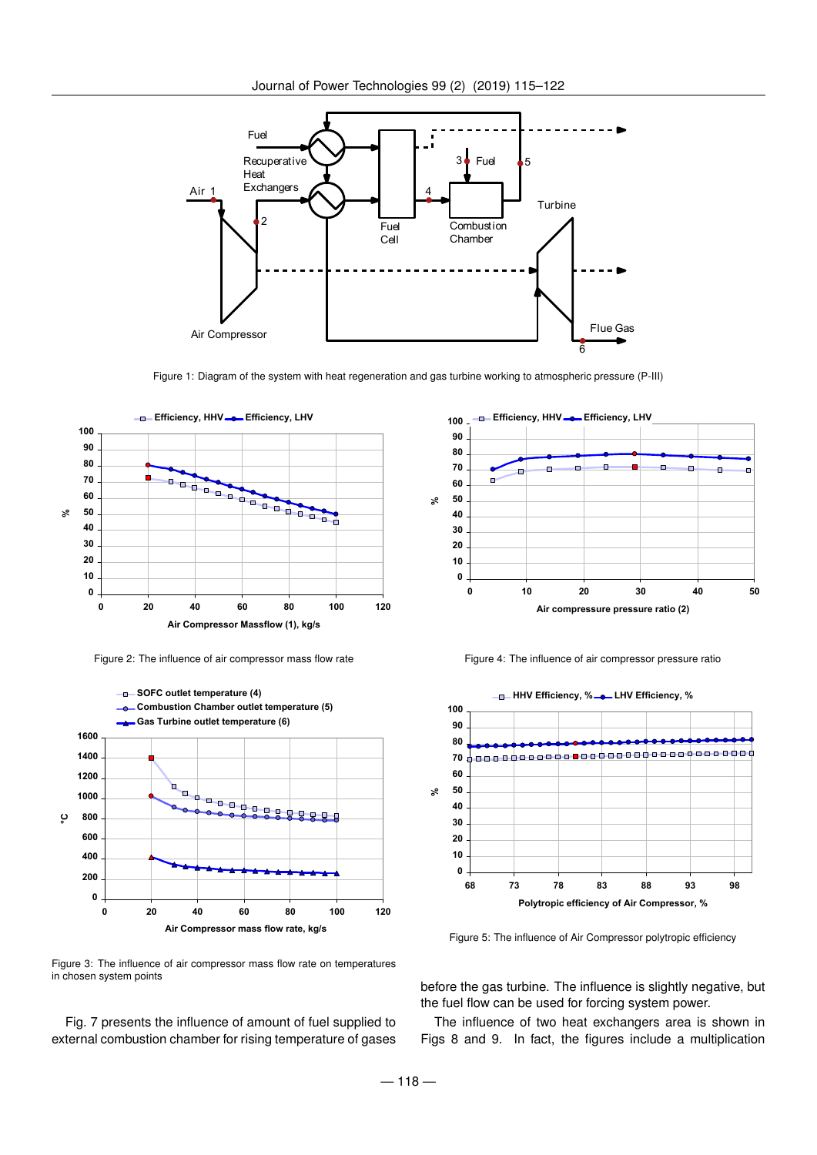

Figure 1: Diagram of the system with heat regeneration and gas turbine working to atmospheric pressure (P-III)



Figure 2: The influence of air compressor mass flow rate



Figure 3: The influence of air compressor mass flow rate on temperatures in chosen system points

Fig. 7 presents the influence of amount of fuel supplied to external combustion chamber for rising temperature of gases



Figure 4: The influence of air compressor pressure ratio



Figure 5: The influence of Air Compressor polytropic efficiency

before the gas turbine. The influence is slightly negative, but the fuel flow can be used for forcing system power.

The influence of two heat exchangers area is shown in Figs 8 and 9. In fact, the figures include a multiplication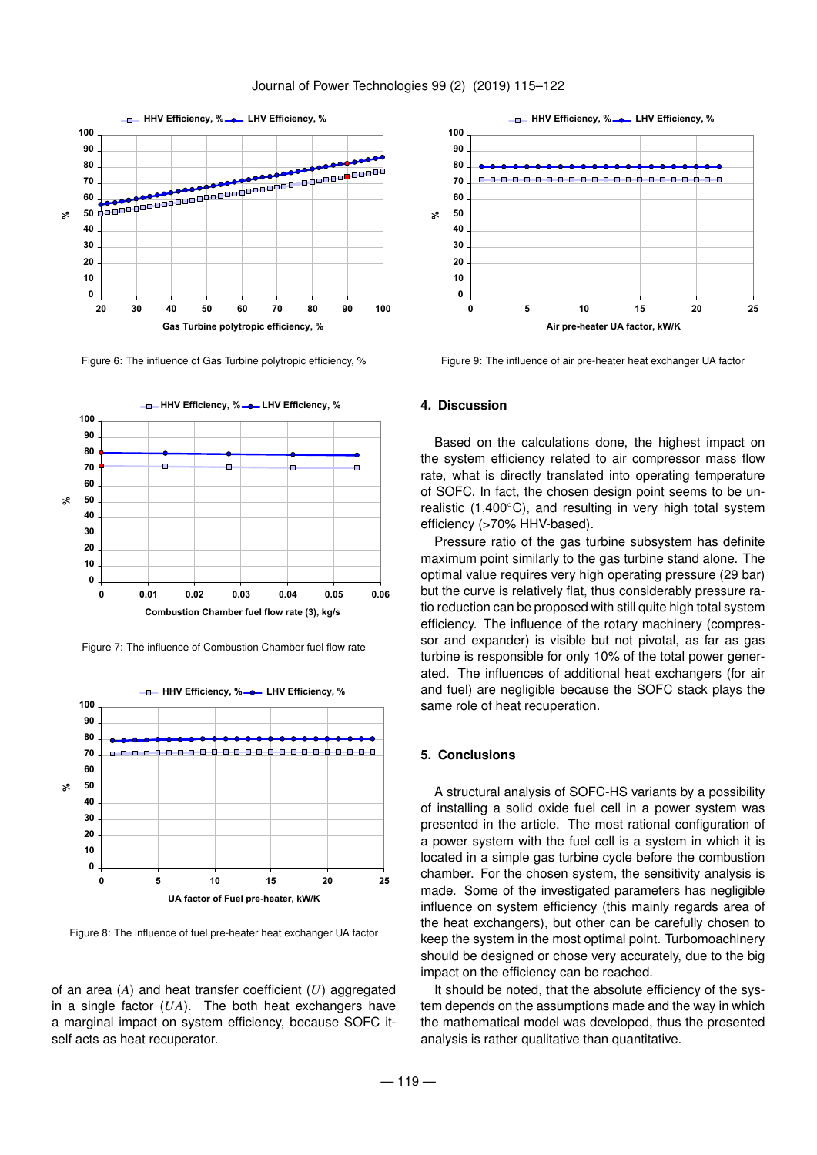

Figure 6: The influence of Gas Turbine polytropic efficiency, %



Figure 7: The influence of Combustion Chamber fuel flow rate



Figure 8: The influence of fuel pre-heater heat exchanger UA factor

of an area (*A*) and heat transfer coefficient (*U*) aggregated in a single factor (*UA*). The both heat exchangers have a marginal impact on system efficiency, because SOFC itself acts as heat recuperator.



Figure 9: The influence of air pre-heater heat exchanger UA factor

# **4. Discussion**

Based on the calculations done, the highest impact on the system efficiency related to air compressor mass flow rate, what is directly translated into operating temperature of SOFC. In fact, the chosen design point seems to be unrealistic (1,400◦C), and resulting in very high total system efficiency (>70% HHV-based).

Pressure ratio of the gas turbine subsystem has definite maximum point similarly to the gas turbine stand alone. The optimal value requires very high operating pressure (29 bar) but the curve is relatively flat, thus considerably pressure ratio reduction can be proposed with still quite high total system efficiency. The influence of the rotary machinery (compressor and expander) is visible but not pivotal, as far as gas turbine is responsible for only 10% of the total power generated. The influences of additional heat exchangers (for air and fuel) are negligible because the SOFC stack plays the same role of heat recuperation.

## **5. Conclusions**

A structural analysis of SOFC-HS variants by a possibility of installing a solid oxide fuel cell in a power system was presented in the article. The most rational configuration of a power system with the fuel cell is a system in which it is located in a simple gas turbine cycle before the combustion chamber. For the chosen system, the sensitivity analysis is made. Some of the investigated parameters has negligible influence on system efficiency (this mainly regards area of the heat exchangers), but other can be carefully chosen to keep the system in the most optimal point. Turbomoachinery should be designed or chose very accurately, due to the big impact on the efficiency can be reached.

It should be noted, that the absolute efficiency of the system depends on the assumptions made and the way in which the mathematical model was developed, thus the presented analysis is rather qualitative than quantitative.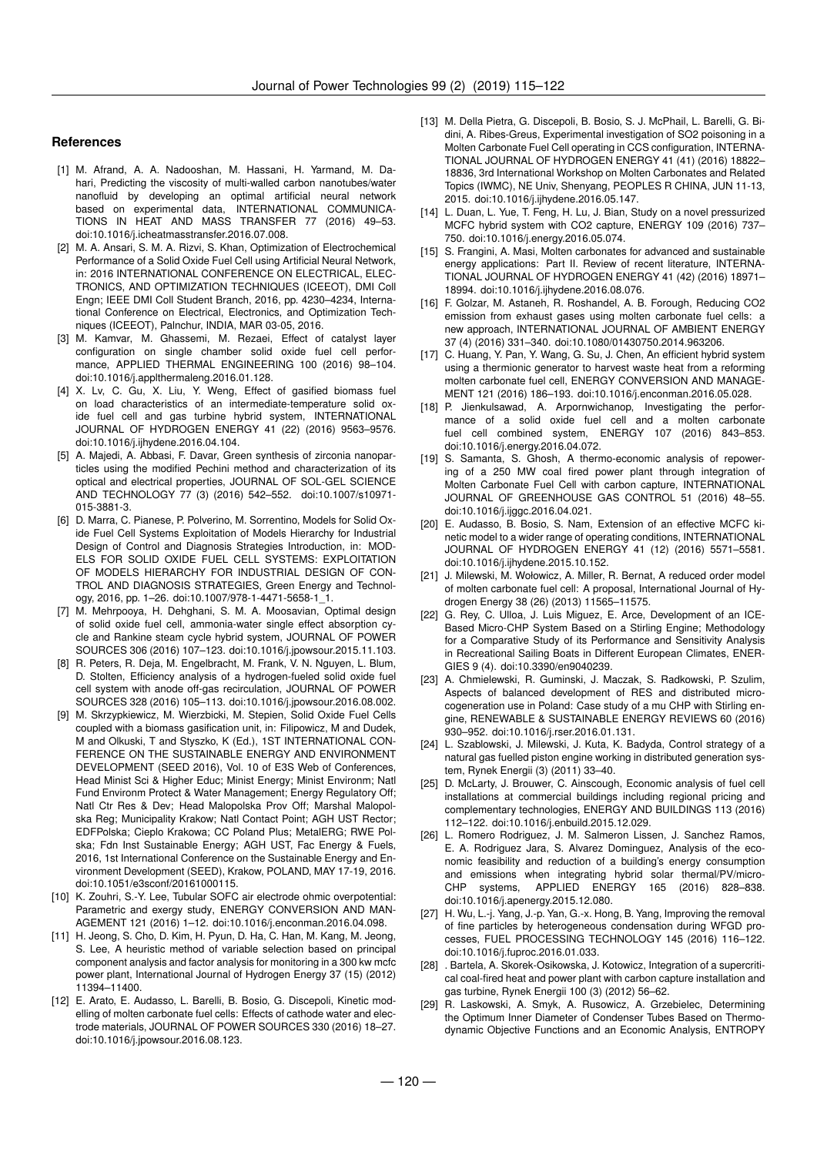## **References**

- [1] M. Afrand, A. A. Nadooshan, M. Hassani, H. Yarmand, M. Dahari, Predicting the viscosity of multi-walled carbon nanotubes/water nanofluid by developing an optimal artificial neural network based on experimental data, INTERNATIONAL COMMUNICA-TIONS IN HEAT AND MASS TRANSFER 77 (2016) 49–53. doi:10.1016/j.icheatmasstransfer.2016.07.008.
- [2] M. A. Ansari, S. M. A. Rizvi, S. Khan, Optimization of Electrochemical Performance of a Solid Oxide Fuel Cell using Artificial Neural Network, in: 2016 INTERNATIONAL CONFERENCE ON ELECTRICAL, ELEC-TRONICS, AND OPTIMIZATION TECHNIQUES (ICEEOT), DMI Coll Engn; IEEE DMI Coll Student Branch, 2016, pp. 4230–4234, International Conference on Electrical, Electronics, and Optimization Techniques (ICEEOT), Palnchur, INDIA, MAR 03-05, 2016.
- [3] M. Kamvar, M. Ghassemi, M. Rezaei, Effect of catalyst layer configuration on single chamber solid oxide fuel cell performance, APPLIED THERMAL ENGINEERING 100 (2016) 98–104. doi:10.1016/j.applthermaleng.2016.01.128.
- [4] X. Lv, C. Gu, X. Liu, Y. Weng, Effect of gasified biomass fuel on load characteristics of an intermediate-temperature solid oxide fuel cell and gas turbine hybrid system, INTERNATIONAL JOURNAL OF HYDROGEN ENERGY 41 (22) (2016) 9563–9576. doi:10.1016/j.ijhydene.2016.04.104.
- [5] A. Majedi, A. Abbasi, F. Davar, Green synthesis of zirconia nanoparticles using the modified Pechini method and characterization of its optical and electrical properties, JOURNAL OF SOL-GEL SCIENCE AND TECHNOLOGY 77 (3) (2016) 542–552. doi:10.1007/s10971- 015-3881-3.
- [6] D. Marra, C. Pianese, P. Polverino, M. Sorrentino, Models for Solid Oxide Fuel Cell Systems Exploitation of Models Hierarchy for Industrial Design of Control and Diagnosis Strategies Introduction, in: MOD-ELS FOR SOLID OXIDE FUEL CELL SYSTEMS: EXPLOITATION OF MODELS HIERARCHY FOR INDUSTRIAL DESIGN OF CON-TROL AND DIAGNOSIS STRATEGIES, Green Energy and Technology, 2016, pp. 1–26. doi:10.1007/978-1-4471-5658-1\_1.
- [7] M. Mehrpooya, H. Dehghani, S. M. A. Moosavian, Optimal design of solid oxide fuel cell, ammonia-water single effect absorption cycle and Rankine steam cycle hybrid system, JOURNAL OF POWER SOURCES 306 (2016) 107–123. doi:10.1016/j.jpowsour.2015.11.103.
- [8] R. Peters, R. Deja, M. Engelbracht, M. Frank, V. N. Nguyen, L. Blum, D. Stolten, Efficiency analysis of a hydrogen-fueled solid oxide fuel cell system with anode off-gas recirculation, JOURNAL OF POWER SOURCES 328 (2016) 105–113. doi:10.1016/j.jpowsour.2016.08.002.
- [9] M. Skrzypkiewicz, M. Wierzbicki, M. Stepien, Solid Oxide Fuel Cells coupled with a biomass gasification unit, in: Filipowicz, M and Dudek, M and Olkuski, T and Styszko, K (Ed.), 1ST INTERNATIONAL CON-FERENCE ON THE SUSTAINABLE ENERGY AND ENVIRONMENT DEVELOPMENT (SEED 2016), Vol. 10 of E3S Web of Conferences, Head Minist Sci & Higher Educ; Minist Energy; Minist Environm; Natl Fund Environm Protect & Water Management; Energy Regulatory Off; Natl Ctr Res & Dev; Head Malopolska Prov Off; Marshal Malopolska Reg; Municipality Krakow; Natl Contact Point; AGH UST Rector; EDFPolska; Cieplo Krakowa; CC Poland Plus; MetalERG; RWE Polska; Fdn Inst Sustainable Energy; AGH UST, Fac Energy & Fuels, 2016, 1st International Conference on the Sustainable Energy and Environment Development (SEED), Krakow, POLAND, MAY 17-19, 2016. doi:10.1051/e3sconf/20161000115.
- [10] K. Zouhri, S.-Y. Lee, Tubular SOFC air electrode ohmic overpotential: Parametric and exergy study, ENERGY CONVERSION AND MAN-AGEMENT 121 (2016) 1–12. doi:10.1016/j.enconman.2016.04.098.
- [11] H. Jeong, S. Cho, D. Kim, H. Pyun, D. Ha, C. Han, M. Kang, M. Jeong, S. Lee, A heuristic method of variable selection based on principal component analysis and factor analysis for monitoring in a 300 kw mcfc power plant, International Journal of Hydrogen Energy 37 (15) (2012) 11394–11400.
- [12] E. Arato, E. Audasso, L. Barelli, B. Bosio, G. Discepoli, Kinetic modelling of molten carbonate fuel cells: Effects of cathode water and electrode materials, JOURNAL OF POWER SOURCES 330 (2016) 18–27. doi:10.1016/j.jpowsour.2016.08.123.
- [13] M. Della Pietra, G. Discepoli, B. Bosio, S. J. McPhail, L. Barelli, G. Bidini, A. Ribes-Greus, Experimental investigation of SO2 poisoning in a Molten Carbonate Fuel Cell operating in CCS configuration, INTERNA-TIONAL JOURNAL OF HYDROGEN ENERGY 41 (41) (2016) 18822– 18836, 3rd International Workshop on Molten Carbonates and Related Topics (IWMC), NE Univ, Shenyang, PEOPLES R CHINA, JUN 11-13, 2015. doi:10.1016/j.ijhydene.2016.05.147.
- [14] L. Duan, L. Yue, T. Feng, H. Lu, J. Bian, Study on a novel pressurized MCFC hybrid system with CO2 capture, ENERGY 109 (2016) 737– 750. doi:10.1016/j.energy.2016.05.074.
- [15] S. Frangini, A. Masi, Molten carbonates for advanced and sustainable energy applications: Part II. Review of recent literature, INTERNA-TIONAL JOURNAL OF HYDROGEN ENERGY 41 (42) (2016) 18971– 18994. doi:10.1016/j.ijhydene.2016.08.076.
- [16] F. Golzar, M. Astaneh, R. Roshandel, A. B. Forough, Reducing CO2 emission from exhaust gases using molten carbonate fuel cells: a new approach, INTERNATIONAL JOURNAL OF AMBIENT ENERGY 37 (4) (2016) 331–340. doi:10.1080/01430750.2014.963206.
- [17] C. Huang, Y. Pan, Y. Wang, G. Su, J. Chen, An efficient hybrid system using a thermionic generator to harvest waste heat from a reforming molten carbonate fuel cell, ENERGY CONVERSION AND MANAGE-MENT 121 (2016) 186–193. doi:10.1016/j.enconman.2016.05.028.
- [18] P. Jienkulsawad, A. Arpornwichanop, Investigating the performance of a solid oxide fuel cell and a molten carbonate fuel cell combined system, ENERGY 107 (2016) 843–853. doi:10.1016/j.energy.2016.04.072.
- [19] S. Samanta, S. Ghosh, A thermo-economic analysis of repowering of a 250 MW coal fired power plant through integration of Molten Carbonate Fuel Cell with carbon capture, INTERNATIONAL JOURNAL OF GREENHOUSE GAS CONTROL 51 (2016) 48–55. doi:10.1016/j.ijggc.2016.04.021.
- [20] E. Audasso, B. Bosio, S. Nam, Extension of an effective MCFC kinetic model to a wider range of operating conditions, INTERNATIONAL JOURNAL OF HYDROGEN ENERGY 41 (12) (2016) 5571–5581. doi:10.1016/j.ijhydene.2015.10.152.
- [21] J. Milewski, M. Wołowicz, A. Miller, R. Bernat, A reduced order model of molten carbonate fuel cell: A proposal, International Journal of Hydrogen Energy 38 (26) (2013) 11565–11575.
- [22] G. Rey, C. Ulloa, J. Luis Miguez, E. Arce, Development of an ICE-Based Micro-CHP System Based on a Stirling Engine; Methodology for a Comparative Study of its Performance and Sensitivity Analysis in Recreational Sailing Boats in Different European Climates, ENER-GIES 9 (4). doi:10.3390/en9040239.
- [23] A. Chmielewski, R. Guminski, J. Maczak, S. Radkowski, P. Szulim, Aspects of balanced development of RES and distributed microcogeneration use in Poland: Case study of a mu CHP with Stirling engine, RENEWABLE & SUSTAINABLE ENERGY REVIEWS 60 (2016) 930–952. doi:10.1016/j.rser.2016.01.131.
- [24] L. Szablowski, J. Milewski, J. Kuta, K. Badyda, Control strategy of a natural gas fuelled piston engine working in distributed generation system, Rynek Energii (3) (2011) 33–40.
- [25] D. McLarty, J. Brouwer, C. Ainscough, Economic analysis of fuel cell installations at commercial buildings including regional pricing and complementary technologies, ENERGY AND BUILDINGS 113 (2016) 112–122. doi:10.1016/j.enbuild.2015.12.029.
- [26] L. Romero Rodriguez, J. M. Salmeron Lissen, J. Sanchez Ramos, E. A. Rodriguez Jara, S. Alvarez Dominguez, Analysis of the economic feasibility and reduction of a building's energy consumption and emissions when integrating hybrid solar thermal/PV/micro-<br>CHP systems. APPLIED ENERGY 165 (2016) 828-838. APPLIED ENERGY 165 (2016) 828-838. doi:10.1016/j.apenergy.2015.12.080.
- [27] H. Wu, L.-j. Yang, J.-p. Yan, G.-x. Hong, B. Yang, Improving the removal of fine particles by heterogeneous condensation during WFGD processes, FUEL PROCESSING TECHNOLOGY 145 (2016) 116–122. doi:10.1016/j.fuproc.2016.01.033.
- [28] . Bartela, A. Skorek-Osikowska, J. Kotowicz, Integration of a supercritical coal-fired heat and power plant with carbon capture installation and gas turbine, Rynek Energii 100 (3) (2012) 56–62.
- [29] R. Laskowski, A. Smyk, A. Rusowicz, A. Grzebielec, Determining the Optimum Inner Diameter of Condenser Tubes Based on Thermodynamic Objective Functions and an Economic Analysis, ENTROPY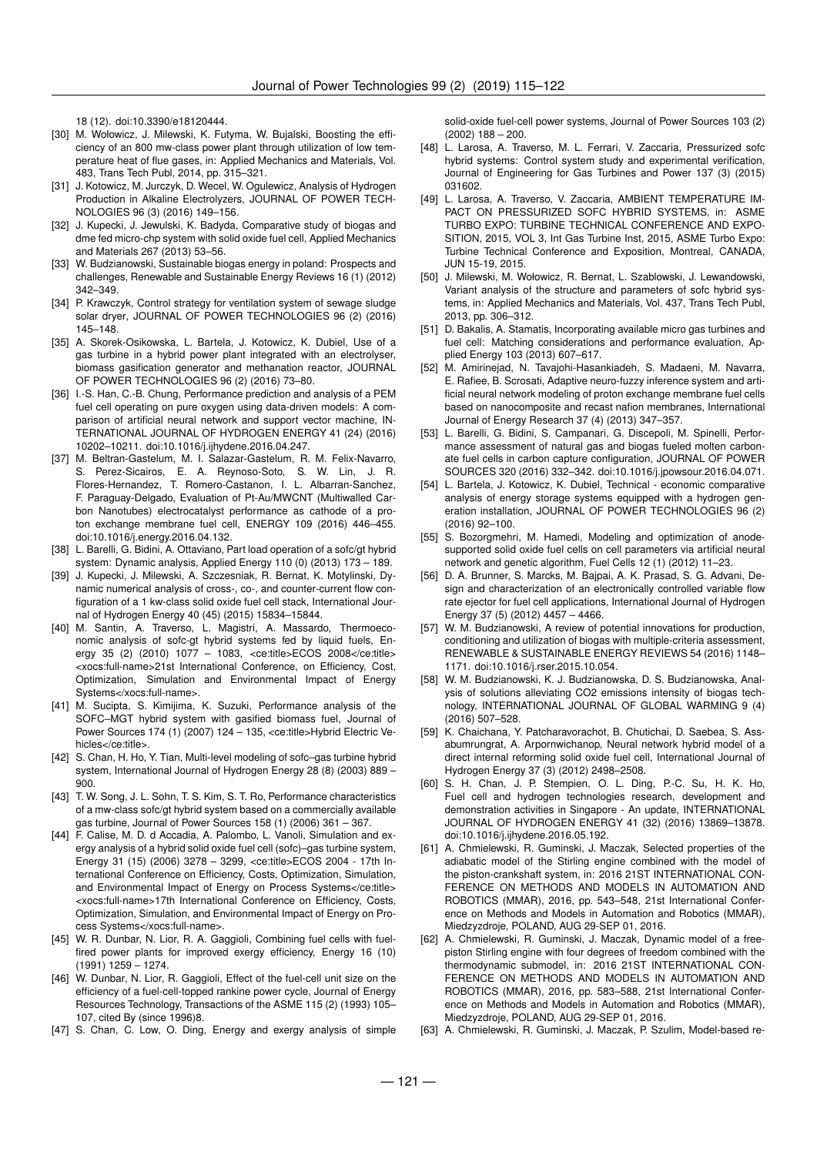18 (12). doi:10.3390/e18120444.

- [30] M. Wołowicz, J. Milewski, K. Futyma, W. Bujalski, Boosting the efficiency of an 800 mw-class power plant through utilization of low temperature heat of flue gases, in: Applied Mechanics and Materials, Vol. 483, Trans Tech Publ, 2014, pp. 315–321.
- [31] J. Kotowicz, M. Jurczyk, D. Wecel, W. Ogulewicz, Analysis of Hydrogen Production in Alkaline Electrolyzers, JOURNAL OF POWER TECH-NOLOGIES 96 (3) (2016) 149–156.
- [32] J. Kupecki, J. Jewulski, K. Badyda, Comparative study of biogas and dme fed micro-chp system with solid oxide fuel cell, Applied Mechanics and Materials 267 (2013) 53–56.
- [33] W. Budzianowski, Sustainable biogas energy in poland: Prospects and challenges, Renewable and Sustainable Energy Reviews 16 (1) (2012) 342–349.
- [34] P. Krawczyk, Control strategy for ventilation system of sewage sludge solar dryer, JOURNAL OF POWER TECHNOLOGIES 96 (2) (2016) 145–148.
- [35] A. Skorek-Osikowska, L. Bartela, J. Kotowicz, K. Dubiel, Use of a gas turbine in a hybrid power plant integrated with an electrolyser, biomass gasification generator and methanation reactor, JOURNAL OF POWER TECHNOLOGIES 96 (2) (2016) 73–80.
- [36] I.-S. Han, C.-B. Chung, Performance prediction and analysis of a PEM fuel cell operating on pure oxygen using data-driven models: A comparison of artificial neural network and support vector machine, IN-TERNATIONAL JOURNAL OF HYDROGEN ENERGY 41 (24) (2016) 10202–10211. doi:10.1016/j.ijhydene.2016.04.247.
- [37] M. Beltran-Gastelum, M. I. Salazar-Gastelum, R. M. Felix-Navarro, S. Perez-Sicairos, E. A. Reynoso-Soto, S. W. Lin, J. R. Flores-Hernandez, T. Romero-Castanon, I. L. Albarran-Sanchez, F. Paraguay-Delgado, Evaluation of Pt-Au/MWCNT (Multiwalled Carbon Nanotubes) electrocatalyst performance as cathode of a proton exchange membrane fuel cell, ENERGY 109 (2016) 446–455. doi:10.1016/j.energy.2016.04.132.
- [38] L. Barelli, G. Bidini, A. Ottaviano, Part load operation of a sofc/gt hybrid system: Dynamic analysis, Applied Energy 110 (0) (2013) 173 – 189.
- [39] J. Kupecki, J. Milewski, A. Szczesniak, R. Bernat, K. Motylinski, Dynamic numerical analysis of cross-, co-, and counter-current flow configuration of a 1 kw-class solid oxide fuel cell stack, International Journal of Hydrogen Energy 40 (45) (2015) 15834–15844.
- [40] M. Santin, A. Traverso, L. Magistri, A. Massardo, Thermoeconomic analysis of sofc-gt hybrid systems fed by liquid fuels, Energy 35 (2) (2010) 1077 – 1083, <ce:title>ECOS 2008</ce:title> <xocs:full-name>21st International Conference, on Efficiency, Cost, Optimization, Simulation and Environmental Impact of Energy Systems</xocs:full-name>.
- [41] M. Sucipta, S. Kimijima, K. Suzuki, Performance analysis of the SOFC–MGT hybrid system with gasified biomass fuel, Journal of Power Sources 174 (1) (2007) 124 - 135, <ce:title>Hybrid Electric Vehicles</ce:title>
- [42] S. Chan, H. Ho, Y. Tian, Multi-level modeling of sofc-gas turbine hybrid system, International Journal of Hydrogen Energy 28 (8) (2003) 889 – 900.
- [43] T. W. Song, J. L. Sohn, T. S. Kim, S. T. Ro, Performance characteristics of a mw-class sofc/gt hybrid system based on a commercially available gas turbine, Journal of Power Sources 158 (1) (2006) 361 – 367.
- [44] F. Calise, M. D. d Accadia, A. Palombo, L. Vanoli, Simulation and exergy analysis of a hybrid solid oxide fuel cell (sofc)–gas turbine system, Energy 31 (15) (2006) 3278 – 3299, <ce:title>ECOS 2004 - 17th International Conference on Efficiency, Costs, Optimization, Simulation, and Environmental Impact of Energy on Process Systems</ce:title> <xocs:full-name>17th International Conference on Efficiency, Costs, Optimization, Simulation, and Environmental Impact of Energy on Process Systems</xocs:full-name>.
- [45] W. R. Dunbar, N. Lior, R. A. Gaggioli, Combining fuel cells with fuelfired power plants for improved exergy efficiency, Energy 16 (10) (1991) 1259 – 1274.
- [46] W. Dunbar, N. Lior, R. Gaggioli, Effect of the fuel-cell unit size on the efficiency of a fuel-cell-topped rankine power cycle, Journal of Energy Resources Technology, Transactions of the ASME 115 (2) (1993) 105– 107, cited By (since 1996)8.
- [47] S. Chan, C. Low, O. Ding, Energy and exergy analysis of simple

solid-oxide fuel-cell power systems, Journal of Power Sources 103 (2) (2002) 188 – 200.

- [48] L. Larosa, A. Traverso, M. L. Ferrari, V. Zaccaria, Pressurized sofc hybrid systems: Control system study and experimental verification, Journal of Engineering for Gas Turbines and Power 137 (3) (2015) 031602.
- [49] L. Larosa, A. Traverso, V. Zaccaria, AMBIENT TEMPERATURE IM-PACT ON PRESSURIZED SOFC HYBRID SYSTEMS, in: ASME TURBO EXPO: TURBINE TECHNICAL CONFERENCE AND EXPO-SITION, 2015, VOL 3, Int Gas Turbine Inst, 2015, ASME Turbo Expo: Turbine Technical Conference and Exposition, Montreal, CANADA, JUN 15-19, 2015.
- [50] J. Milewski, M. Wołowicz, R. Bernat, L. Szablowski, J. Lewandowski, Variant analysis of the structure and parameters of sofc hybrid systems, in: Applied Mechanics and Materials, Vol. 437, Trans Tech Publ, 2013, pp. 306–312.
- [51] D. Bakalis, A. Stamatis, Incorporating available micro gas turbines and fuel cell: Matching considerations and performance evaluation, Applied Energy 103 (2013) 607–617.
- [52] M. Amirinejad, N. Tavajohi-Hasankiadeh, S. Madaeni, M. Navarra, E. Rafiee, B. Scrosati, Adaptive neuro-fuzzy inference system and artificial neural network modeling of proton exchange membrane fuel cells based on nanocomposite and recast nafion membranes, International Journal of Energy Research 37 (4) (2013) 347–357.
- [53] L. Barelli, G. Bidini, S. Campanari, G. Discepoli, M. Spinelli, Performance assessment of natural gas and biogas fueled molten carbonate fuel cells in carbon capture configuration, JOURNAL OF POWER SOURCES 320 (2016) 332–342. doi:10.1016/j.jpowsour.2016.04.071.
- [54] L. Bartela, J. Kotowicz, K. Dubiel, Technical economic comparative analysis of energy storage systems equipped with a hydrogen generation installation, JOURNAL OF POWER TECHNOLOGIES 96 (2) (2016) 92–100.
- [55] S. Bozorgmehri, M. Hamedi, Modeling and optimization of anodesupported solid oxide fuel cells on cell parameters via artificial neural network and genetic algorithm, Fuel Cells 12 (1) (2012) 11–23.
- [56] D. A. Brunner, S. Marcks, M. Bajpai, A. K. Prasad, S. G. Advani, Design and characterization of an electronically controlled variable flow rate ejector for fuel cell applications, International Journal of Hydrogen Energy 37 (5) (2012) 4457 – 4466.
- [57] W. M. Budzianowski, A review of potential innovations for production, conditioning and utilization of biogas with multiple-criteria assessment, RENEWABLE & SUSTAINABLE ENERGY REVIEWS 54 (2016) 1148– 1171. doi:10.1016/j.rser.2015.10.054.
- [58] W. M. Budzianowski, K. J. Budzianowska, D. S. Budzianowska, Analysis of solutions alleviating CO2 emissions intensity of biogas technology, INTERNATIONAL JOURNAL OF GLOBAL WARMING 9 (4) (2016) 507–528.
- [59] K. Chaichana, Y. Patcharavorachot, B. Chutichai, D. Saebea, S. Assabumrungrat, A. Arpornwichanop, Neural network hybrid model of a direct internal reforming solid oxide fuel cell, International Journal of Hydrogen Energy 37 (3) (2012) 2498–2508.
- [60] S. H. Chan, J. P. Stempien, O. L. Ding, P.-C. Su, H. K. Ho, Fuel cell and hydrogen technologies research, development and demonstration activities in Singapore - An update, INTERNATIONAL JOURNAL OF HYDROGEN ENERGY 41 (32) (2016) 13869–13878. doi:10.1016/j.ijhydene.2016.05.192.
- [61] A. Chmielewski, R. Guminski, J. Maczak, Selected properties of the adiabatic model of the Stirling engine combined with the model of the piston-crankshaft system, in: 2016 21ST INTERNATIONAL CON-FERENCE ON METHODS AND MODELS IN AUTOMATION AND ROBOTICS (MMAR), 2016, pp. 543–548, 21st International Conference on Methods and Models in Automation and Robotics (MMAR), Miedzyzdroje, POLAND, AUG 29-SEP 01, 2016.
- [62] A. Chmielewski, R. Guminski, J. Maczak, Dynamic model of a freepiston Stirling engine with four degrees of freedom combined with the thermodynamic submodel, in: 2016 21ST INTERNATIONAL CON-FERENCE ON METHODS AND MODELS IN AUTOMATION AND ROBOTICS (MMAR), 2016, pp. 583–588, 21st International Conference on Methods and Models in Automation and Robotics (MMAR), Miedzyzdroje, POLAND, AUG 29-SEP 01, 2016.
- [63] A. Chmielewski, R. Guminski, J. Maczak, P. Szulim, Model-based re-